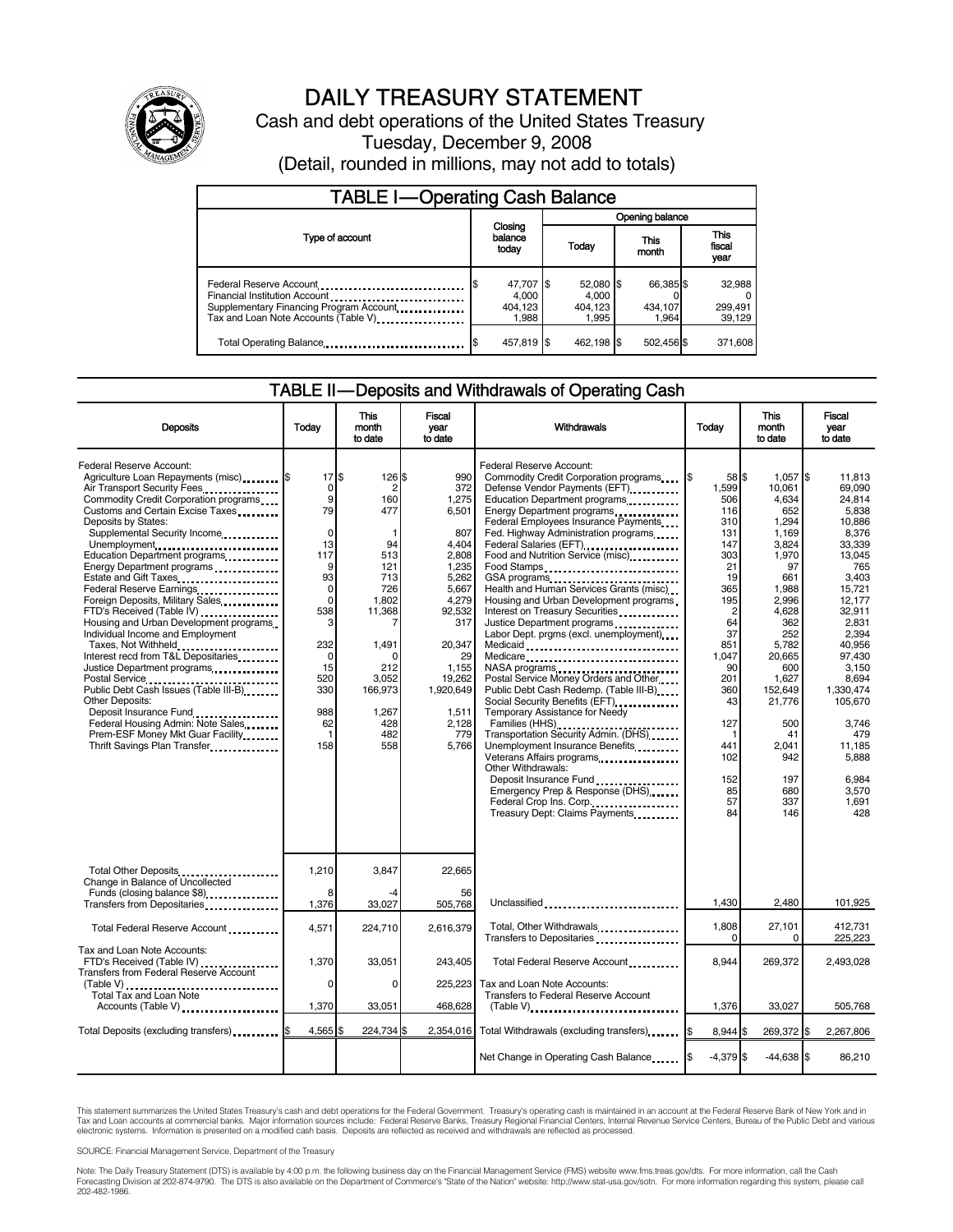

# DAILY TREASURY STATEMENT

Cash and debt operations of the United States Treasury Tuesday, December 9, 2008 (Detail, rounded in millions, may not add to totals)

| <b>TABLE I-Operating Cash Balance</b>                                                                                                       |                             |                                        |  |                                          |               |                               |  |                               |
|---------------------------------------------------------------------------------------------------------------------------------------------|-----------------------------|----------------------------------------|--|------------------------------------------|---------------|-------------------------------|--|-------------------------------|
|                                                                                                                                             |                             |                                        |  | Opening balance                          |               |                               |  |                               |
| Type of account                                                                                                                             | Closing<br>balance<br>today |                                        |  | Today                                    | This<br>month |                               |  | <b>This</b><br>fiscal<br>year |
| Federal Reserve Account<br>Financial Institution Account<br>Supplementary Financing Program Account<br>Tax and Loan Note Accounts (Table V) |                             | 47,707 \$<br>4.000<br>404.123<br>1.988 |  | $52,080$ \$<br>4.000<br>404,123<br>1.995 |               | 66,385 \$<br>434.107<br>1.964 |  | 32,988<br>299,491<br>39.129   |
| Total Operating Balance                                                                                                                     |                             | 457,819 \$                             |  | 462.198 \$                               |               | 502,456 \$                    |  | 371,608                       |

#### TABLE II — Deposits and Withdrawals of Operating Cash

| <b>Deposits</b>                                                                                                                                                                                                                                                                                                                                                                                                                                                                                                                                                                                                                                                                                                                                                                            | Todav                                                                                                                                                                              | This<br>month<br>to date                                                                                                                                                            | <b>Fiscal</b><br>year<br>to date                                                                                                                                                             | Withdrawals                                                                                                                                                                                                                                                                                                                                                                                                                                                                                                                                                                                                                                                                                                                                                                                                                                                                                                                                                                                 | Today                                                                                                                                                                                             | This<br>month<br>to date                                                                                                                                                                                                                        | Fiscal<br>vear<br>to date                                                                                                                                                                                                                                                     |
|--------------------------------------------------------------------------------------------------------------------------------------------------------------------------------------------------------------------------------------------------------------------------------------------------------------------------------------------------------------------------------------------------------------------------------------------------------------------------------------------------------------------------------------------------------------------------------------------------------------------------------------------------------------------------------------------------------------------------------------------------------------------------------------------|------------------------------------------------------------------------------------------------------------------------------------------------------------------------------------|-------------------------------------------------------------------------------------------------------------------------------------------------------------------------------------|----------------------------------------------------------------------------------------------------------------------------------------------------------------------------------------------|---------------------------------------------------------------------------------------------------------------------------------------------------------------------------------------------------------------------------------------------------------------------------------------------------------------------------------------------------------------------------------------------------------------------------------------------------------------------------------------------------------------------------------------------------------------------------------------------------------------------------------------------------------------------------------------------------------------------------------------------------------------------------------------------------------------------------------------------------------------------------------------------------------------------------------------------------------------------------------------------|---------------------------------------------------------------------------------------------------------------------------------------------------------------------------------------------------|-------------------------------------------------------------------------------------------------------------------------------------------------------------------------------------------------------------------------------------------------|-------------------------------------------------------------------------------------------------------------------------------------------------------------------------------------------------------------------------------------------------------------------------------|
| Federal Reserve Account:<br>Agriculture Loan Repayments (misc) \$<br>Air Transport Security Fees<br>Commodity Credit Corporation programs<br>Customs and Certain Excise Taxes<br>Deposits by States:<br>Supplemental Security Income<br>Unemployment<br>Education Department programs<br>Energy Department programs<br>Federal Reserve Earnings<br>Foreign Deposits, Military Sales<br>FTD's Received (Table IV)<br>Housing and Urban Development programs<br>Individual Income and Employment<br>Taxes, Not Withheld<br>Interest recd from T&L Depositaries<br>Justice Department programs<br>Public Debt Cash Issues (Table III-B)<br>Other Deposits:<br>Deposit Insurance Fund<br>Federal Housing Admin: Note Sales<br>Prem-ESF Money Mkt Guar Facility<br>Thrift Savings Plan Transfer | 17S<br>0<br>9<br>79<br>$\mathsf 0$<br>13<br>117<br>9<br>93<br>$\mathsf 0$<br>$\mathbf 0$<br>538<br>3<br>232<br>$\mathbf 0$<br>15<br>520<br>330<br>988<br>62<br>$\mathbf{1}$<br>158 | 126 \$<br>$\overline{2}$<br>160<br>477<br>1<br>94<br>513<br>121<br>713<br>726<br>1,802<br>11,368<br>7<br>1,491<br>$\Omega$<br>212<br>3.052<br>166,973<br>1,267<br>428<br>482<br>558 | 990<br>372<br>1,275<br>6,501<br>807<br>4,404<br>2,808<br>1,235<br>5,262<br>5,667<br>4,279<br>92,532<br>317<br>20,347<br>29<br>1,155<br>19,262<br>1,920,649<br>1,511<br>2,128<br>779<br>5,766 | Federal Reserve Account:<br>Commodity Credit Corporation programs<br>Defense Vendor Payments (EFT)<br>Education Department programs<br>Energy Department programs<br>Federal Employees Insurance Payments<br>Fed. Highway Administration programs<br>Federal Salaries (EFT)<br>Federal Salaries (EFT)<br>Food and Nutrition Service (misc)<br>Food Stamps<br>Health and Human Services Grants (misc)<br>Housing and Urban Development programs<br>Interest on Treasury Securities<br>Justice Department programs<br>Labor Dept. prgms (excl. unemployment)<br>Medicare<br>NASA programs<br>Postal Service Money Orders and Other<br>Public Debt Cash Redemp. (Table III-B)<br>Social Security Benefits (EFT)<br>Temporary Assistance for Needy<br>Families (HHS)<br>Transportation Security Admin. (DHS)<br>Unemployment Insurance Benefits<br>Other Withdrawals:<br>Deposit Insurance Fund<br>Emergency Prep & Response (DHS)<br>Federal Crop Ins. Corp.<br>Treasury Dept: Claims Payments | 58 \$<br>1,599<br>506<br>116<br>310<br>131<br>147<br>303<br>21<br>19<br>365<br>195<br>2<br>64<br>37<br>851<br>1,047<br>90<br>201<br>360<br>43<br>127<br>-1<br>441<br>102<br>152<br>85<br>57<br>84 | $1,057$ \$<br>10,061<br>4,634<br>652<br>1,294<br>1,169<br>3,824<br>1,970<br>97<br>661<br>1,988<br>2,996<br>4,628<br>362<br>252<br>5,782<br>20,665<br>600<br>1,627<br>152,649<br>21,776<br>500<br>41<br>2.041<br>942<br>197<br>680<br>337<br>146 | 11,813<br>69.090<br>24.814<br>5.838<br>10.886<br>8,376<br>33,339<br>13.045<br>765<br>3.403<br>15,721<br>12,177<br>32,911<br>2.831<br>2.394<br>40,956<br>97,430<br>3,150<br>8.694<br>1,330,474<br>105,670<br>3.746<br>479<br>11.185<br>5,888<br>6.984<br>3.570<br>1.691<br>428 |
| Total Other Deposits<br>Change in Balance of Uncollected<br>Funds (closing balance \$8)<br>Transfers from Depositaries                                                                                                                                                                                                                                                                                                                                                                                                                                                                                                                                                                                                                                                                     | 1,210<br>8<br>1,376                                                                                                                                                                | 3.847<br>33,027                                                                                                                                                                     | 22.665<br>56<br>505,768                                                                                                                                                                      | Unclassified                                                                                                                                                                                                                                                                                                                                                                                                                                                                                                                                                                                                                                                                                                                                                                                                                                                                                                                                                                                | 1,430                                                                                                                                                                                             | 2,480                                                                                                                                                                                                                                           | 101,925                                                                                                                                                                                                                                                                       |
| Total Federal Reserve Account                                                                                                                                                                                                                                                                                                                                                                                                                                                                                                                                                                                                                                                                                                                                                              | 4.571                                                                                                                                                                              | 224.710                                                                                                                                                                             | 2.616.379                                                                                                                                                                                    | Total, Other Withdrawals                                                                                                                                                                                                                                                                                                                                                                                                                                                                                                                                                                                                                                                                                                                                                                                                                                                                                                                                                                    | 1,808<br>$\Omega$                                                                                                                                                                                 | 27,101<br>0                                                                                                                                                                                                                                     | 412.731<br>225,223                                                                                                                                                                                                                                                            |
| Tax and Loan Note Accounts:<br>FTD's Received (Table IV)<br><b>Transfers from Federal Reserve Account</b><br>Total Tax and Loan Note                                                                                                                                                                                                                                                                                                                                                                                                                                                                                                                                                                                                                                                       | 1,370<br>0                                                                                                                                                                         | 33,051<br>$\Omega$                                                                                                                                                                  | 243,405<br>225,223                                                                                                                                                                           | Total Federal Reserve Account<br>Tax and Loan Note Accounts:<br>Transfers to Federal Reserve Account                                                                                                                                                                                                                                                                                                                                                                                                                                                                                                                                                                                                                                                                                                                                                                                                                                                                                        | 8.944                                                                                                                                                                                             | 269,372                                                                                                                                                                                                                                         | 2,493,028                                                                                                                                                                                                                                                                     |
| Accounts (Table V)                                                                                                                                                                                                                                                                                                                                                                                                                                                                                                                                                                                                                                                                                                                                                                         | 1,370                                                                                                                                                                              | 33,051                                                                                                                                                                              | 468,628                                                                                                                                                                                      | $(Table V)$                                                                                                                                                                                                                                                                                                                                                                                                                                                                                                                                                                                                                                                                                                                                                                                                                                                                                                                                                                                 | 1,376                                                                                                                                                                                             | 33,027                                                                                                                                                                                                                                          | 505,768                                                                                                                                                                                                                                                                       |
| Total Deposits (excluding transfers) <b>\$</b>                                                                                                                                                                                                                                                                                                                                                                                                                                                                                                                                                                                                                                                                                                                                             | $4,565$ \$                                                                                                                                                                         | 224,734 \$                                                                                                                                                                          | 2,354,016                                                                                                                                                                                    | Total Withdrawals (excluding transfers)                                                                                                                                                                                                                                                                                                                                                                                                                                                                                                                                                                                                                                                                                                                                                                                                                                                                                                                                                     | 8.944 \$                                                                                                                                                                                          | 269,372 \$                                                                                                                                                                                                                                      | 2,267,806                                                                                                                                                                                                                                                                     |
|                                                                                                                                                                                                                                                                                                                                                                                                                                                                                                                                                                                                                                                                                                                                                                                            |                                                                                                                                                                                    |                                                                                                                                                                                     |                                                                                                                                                                                              | Net Change in Operating Cash Balance                                                                                                                                                                                                                                                                                                                                                                                                                                                                                                                                                                                                                                                                                                                                                                                                                                                                                                                                                        | $-4,379$ \$                                                                                                                                                                                       | $-44,638$ \$                                                                                                                                                                                                                                    | 86,210                                                                                                                                                                                                                                                                        |

This statement summarizes the United States Treasury's cash and debt operations for the Federal Government. Treasury's operating cash is maintained in an account at the Federal Reserve Bank of New York and in<br>Tax and Loan

SOURCE: Financial Management Service, Department of the Treasury

Note: The Daily Treasury Statement (DTS) is available by 4:00 p.m. the following business day on the Financial Management Service (FMS) website www.fms.treas.gov/dts. For more information, call the Cash<br>Forecasting Divisio eas.gov/dts. F<br>For more infor